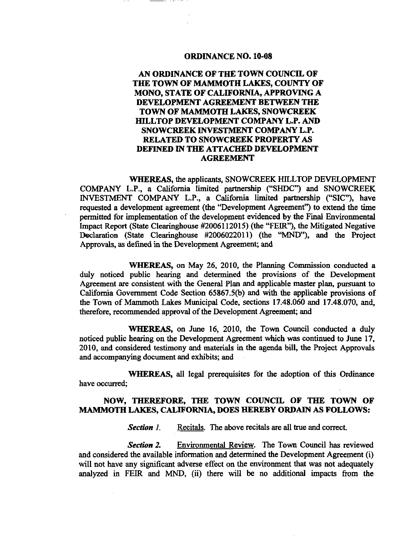## **ORDINANCE NO. 10-08**

## **AN ORDINANCE OF THE TOWN COUNCIL OF THE TOWN OF MAMMOTH LAKES, COUNTY OF MONO. STATE OF CALIFORNIA, APPROVING A DEVELOPMENT AGREEMENT BETWEEN THE TOWN OF MAMMOTH LAKES, SNOWCREEK HILLTOP DEVELOPMENT COMPANY L.P. AND SNOWCREEK INVESTMENT COMPANY L.P. RELATED TO SNOWCREEK PROPERTY AS DEFINED IN THE ATTACHED DEVELOPMENT AGREEMENT**

**WHEREAS,** the applicants, SNOWCREEK HILLTOP DEVELOPMENT COMPANY L.P., a California limited partnership ("SHDC") and SNOWCREEK INVESTMENT COMPANY L.P., a California limited partnership ("SIC"), have requested a development agreement (the "Development Agreement") to extend the time permitted for implementation of the development evidenced by the Final Environmental Impact Report (State Clearinghouse #2006112015) (the "FEIR"), the Mitigated Negative Declaration (State Clearinghouse #2006022011) (the "MND"), and the Project Approvals, as defined in the Development Agreement; and

**WHEREAS,** on May 26, 2010, the Planning Commission conducted a duly noticed public hearing and determined the provisions of the Development Agreement are consistent with the General Plan and applicable master plan, pursuant to California Government Code Section 65867.5(b) and with the applicable provisions of the Town of Mammoth Lakes Mimicipal Code, sections 17.48.060 and 17.48.070, and, therefore, recommended approval of the Development Agreement; and

**WHEREAS,** on June 16, 2010, the Town Council conducted a duly noticed public hearing on the Development Agreement which was continued to June 17, 2010, and considered testimony and materials in the agenda bill, the Project Approvals and accompanying document and exhibits; and

**WHEREAS,** all legal prerequisites for the adoption of this Ordinance have occurred;

## **NOW, THEREFORE, THE TOWN COUNCIL OF THE TOWN OF MAMMOTH LAKES, CALIFORNIA, DOES HEREBY ORDAIN AS FOLLOWS:**

*Section 1.* Recitals. The above recitals are all true and correct.

*Section 2,* Environmental Review. The Town Council has reviewed and considered the available information and determined the Development Agreement (i) will not have any significant adverse effect on the environment that was not adequately analyzed in FEIR and MND, (ii) there will be no additional impacts from the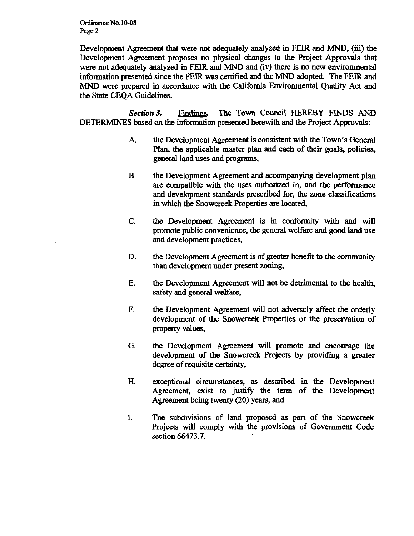Ordinance No. 10-08 Page 2

Development Agreement that were not adequately analyzed in FEIR and MND, (iii) the Development Agreement proposes no physical changes to the Project Approvals that were not adequately analyzed in FEIR and MND and (iv) there is no new environmental information presented since the FEIR was certified and the MND adopted. The FEIR and MND were prepared in accordance with the California Environmental Quality Act and the State CEQA Guidelines.

**Section 3.** Findings. The Town Council HEREBY FINDS AND DETERMINES based on the information presented herewith and the Project Approvals:

- A. the Development Agreement is consistent with the Town's General Plan, the applicable master plan and each of their goals, policies, general land uses and programs,
- B. the Development Agreement and accompanying development plan are compatible with the uses authorized in, and the performance and development standards prescribed for, the zone classifications in which the Snowcreek Properties are located,
- C. the Development Agreement is in conformity with and will promote public convenience, the general welfare and good land use and development practices,
- D. the Development Agreement is of greater benefit to the community than development under present zoning,
- E. the Development Agreement will not be detrimental to the health, safety and general welfare,
- F. the Development Agreement will not adversely affect the orderly development of the Snowcreek Properties or the preservation of property values,
- G. the Development Agreement will promote and encourage the development of the Snowcreek Projects by providing a greater degree of requisite certainty,
- H. exceptional circumstances, as described in the Development Agreement, exist to justify the term of the Development Agreement being twenty (20) years, and
- I. The subdivisions of land proposed as part of the Snowcreek Projects will comply with the provisions of Government Code section 66473.7.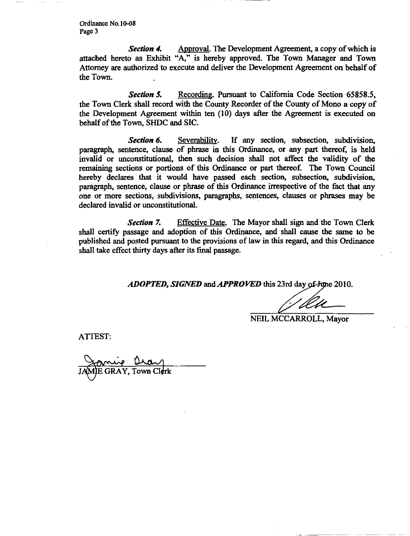Ordinance No. 10-08 Page 3

*Section 4,* Approval. The Development Agreement, a copy of which is attached hereto as Exhibit "A," is hereby approved. The Town Manager and Town Attorney are authorized to execute and deliver the Development Agreement on behalf of the Town.

*Section 5.* Recording. Pursuant to California Code Section 65858.5, the Town Clerk shall record with the County Recorder of the County of Mono a copy of the Development Agreement within ten (10) days after the Agreement is executed on behalf of the Town, SHDC and SIC.

**Section 6.** Severability. If any section, subsection, subdivision, paragraph, sentence, clause of phrase in this Ordinance, or any part thereof, is held invalid or unconstitutional, then such decision shall not affect the validity of the remaining sections or portions of this Ordinance or part thereof. The Town Council hereby declares that it would have passed each section, subsection, subdivision, paragraph, sentence, clause or phrase of this Ordinance irrespective of the fact that any one or more sections, subdivisions, paragraphs, sentences, clauses or phrases may be declared invalid or unconstitutional.

*Section 7,* Effective Date. The Mayor shall sign and the Town Clerk shall certify passage and adoption of this Ordinance, and shall cause the same to be published and posted pursuant to the provisions of law in this regard, and this Ordinance shall take effect thirty days after its final passage.

*ADOPTED, SIGNED* and *APPROVED* this 23rd day of June 2010.

**^^i \_** 

NEIL MCCARROLL, Mayor

ATTEST:

GRAY, Town Cl**¢r**k